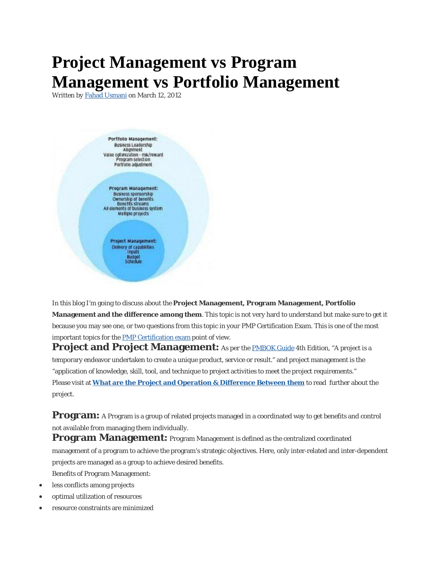# **Project Management vs Program Management vs Portfolio Management**

Written *by* Fahad Usmani *on* March 12, 2012



In this blog I'm going to discuss about the **Project Management, Program Management, Portfolio Management and the difference among them**. This topic is not very hard to understand but make sure to get it because you may see one, or two questions from this topic in your PMP Certification Exam. This is one of the most important topics for the PMP Certification exam point of view.

**Project and Project Management:** As per the **PMBOK Guide 4th Edition, "A project is a** temporary endeavor undertaken to create a unique product, service or result." and project management is the "application of knowledge, skill, tool, and technique to project activities to meet the project requirements." Please visit at **What are the Project and Operation & Difference Between them** to read further about the project.

**Program:** A Program is a group of related projects managed in a coordinated way to get benefits and control not available from managing them individually.

**Program Management:** Program Management is defined as the centralized coordinated management of a program to achieve the program's strategic objectives. Here, only inter-related and inter-dependent projects are managed as a group to achieve desired benefits. Benefits of Program Management:

- less conflicts among projects
- optimal utilization of resources
- resource constraints are minimized